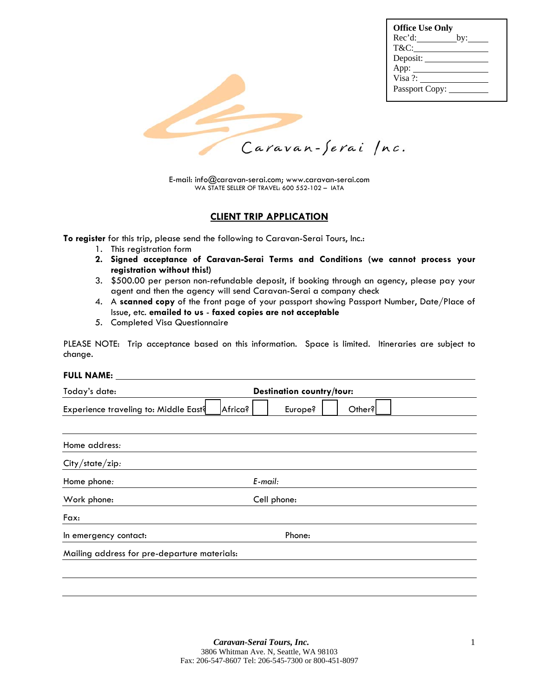| <b>Office Use Only</b> |
|------------------------|
|                        |
| T&C:                   |
| Deposit:               |
| App: $\qquad \qquad$   |
| Visa ?:                |
| Passport Copy:         |
|                        |



E-mail: info@caravan-serai.com; www.caravan-serai.com WA STATE SELLER OF TRAVEL: 600 552-102 – IATA

#### **CLIENT TRIP APPLICATION**

**To register** for this trip, please send the following to Caravan-Serai Tours, Inc.:

- 1. This registration form
- **2. Signed acceptance of Caravan-Serai Terms and Conditions (we cannot process your registration without this!)**
- 3. \$500.00 per person non-refundable deposit, if booking through an agency, please pay your agent and then the agency will send Caravan-Serai a company check
- 4. A **scanned copy** of the front page of your passport showing Passport Number, Date/Place of Issue, etc. **emailed to us** - **faxed copies are not acceptable**
- 5. Completed Visa Questionnaire

PLEASE NOTE: Trip acceptance based on this information. Space is limited. Itineraries are subject to change.

#### **FULL NAME:**

| Today's date:                                    | <b>Destination country/tour:</b> |  |  |  |
|--------------------------------------------------|----------------------------------|--|--|--|
| Experience traveling to: Middle East?<br>Africa? | Europe?<br>Other?                |  |  |  |
|                                                  |                                  |  |  |  |
| Home address:                                    |                                  |  |  |  |
| City/state/zip:                                  |                                  |  |  |  |
| Home phone:                                      | $E$ -mail:                       |  |  |  |
| Work phone:                                      | Cell phone:                      |  |  |  |
| Fax:                                             |                                  |  |  |  |
| Phone:<br>In emergency contact:                  |                                  |  |  |  |
| Mailing address for pre-departure materials:     |                                  |  |  |  |
|                                                  |                                  |  |  |  |
|                                                  |                                  |  |  |  |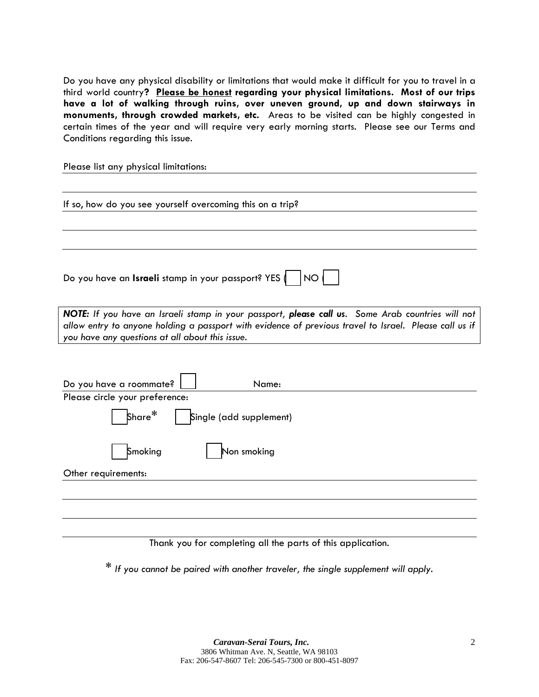Do you have any physical disability or limitations that would make it difficult for you to travel in a third world country**? Please be honest regarding your physical limitations. Most of our trips have a lot of walking through ruins, over uneven ground, up and down stairways in monuments, through crowded markets, etc.** Areas to be visited can be highly congested in certain times of the year and will require very early morning starts. Please see our Terms and Conditions regarding this issue.

Please list any physical limitations:

If so, how do you see yourself overcoming this on a trip?

Do you have an **Israeli** stamp in your passport? YES | | NO |

*NOTE: If you have an Israeli stamp in your passport, please call us. Some Arab countries will not allow entry to anyone holding a passport with evidence of previous travel to Israel. Please call us if you have any questions at all about this issue.* 

| Do you have a roommate?<br>Name:         |  |
|------------------------------------------|--|
| Please circle your preference:           |  |
| Share $^\ast$<br>Single (add supplement) |  |
| Non smoking<br>Smoking                   |  |
| Other requirements:                      |  |
|                                          |  |
|                                          |  |

Thank you for completing all the parts of this application.

\* *If you cannot be paired with another traveler, the single supplement will apply*.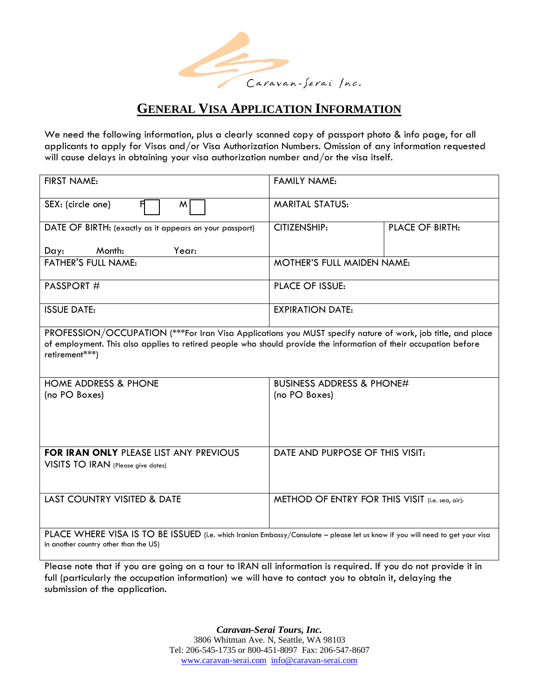

# **GENERAL VISA APPLICATION INFORMATION**

We need the following information, plus a clearly scanned copy of passport photo & info page, for all applicants to apply for Visas and/or Visa Authorization Numbers. Omission of any information requested will cause delays in obtaining your visa authorization number and/or the visa itself.

| FIRST NAME:                                                                                                                                                                                                                                      | <b>FAMILY NAME:</b>                             |                        |  |  |
|--------------------------------------------------------------------------------------------------------------------------------------------------------------------------------------------------------------------------------------------------|-------------------------------------------------|------------------------|--|--|
| SEX: (circle one)<br>Я<br>M                                                                                                                                                                                                                      | <b>MARITAL STATUS:</b>                          |                        |  |  |
| DATE OF BIRTH: (exactly as it appears on your passport)                                                                                                                                                                                          | <b>CITIZENSHIP:</b>                             | <b>PLACE OF BIRTH:</b> |  |  |
| Month:<br>Year:<br>Day:                                                                                                                                                                                                                          |                                                 |                        |  |  |
| <b>FATHER'S FULL NAME:</b>                                                                                                                                                                                                                       | <b>MOTHER'S FULL MAIDEN NAME:</b>               |                        |  |  |
| PASSPORT#                                                                                                                                                                                                                                        | <b>PLACE OF ISSUE:</b>                          |                        |  |  |
| <b>ISSUE DATE:</b>                                                                                                                                                                                                                               | <b>EXPIRATION DATE:</b>                         |                        |  |  |
| PROFESSION/OCCUPATION (***For Iran Visa Applications you MUST specify nature of work, job title, and place<br>of employment. This also applies to retired people who should provide the information of their occupation before<br>retirement***) |                                                 |                        |  |  |
| <b>HOME ADDRESS &amp; PHONE</b>                                                                                                                                                                                                                  | <b>BUSINESS ADDRESS &amp; PHONE#</b>            |                        |  |  |
| (no PO Boxes)                                                                                                                                                                                                                                    | (no PO Boxes)                                   |                        |  |  |
| <b>FOR IRAN ONLY PLEASE LIST ANY PREVIOUS</b><br>VISITS TO IRAN (Please give dates)                                                                                                                                                              | DATE AND PURPOSE OF THIS VISIT:                 |                        |  |  |
|                                                                                                                                                                                                                                                  |                                                 |                        |  |  |
| LAST COUNTRY VISITED & DATE                                                                                                                                                                                                                      | METHOD OF ENTRY FOR THIS VISIT (i.e. sea, air): |                        |  |  |
| PLACE WHERE VISA IS TO BE ISSUED (i.e. which Iranian Embassy/Consulate - please let us know if you will need to get your visa<br>in another country other than the US)                                                                           |                                                 |                        |  |  |

Please note that if you are going on a tour to IRAN all information is required. If you do not provide it in full (particularly the occupation information) we will have to contact you to obtain it, delaying the submission of the application.

> *Caravan-Serai Tours, Inc.* 3806 Whitman Ave. N, Seattle, WA 98103 Tel: 206-545-1735 or 800-451-8097 Fax: 206-547-8607 www.caravan-serai.com info@caravan-serai.com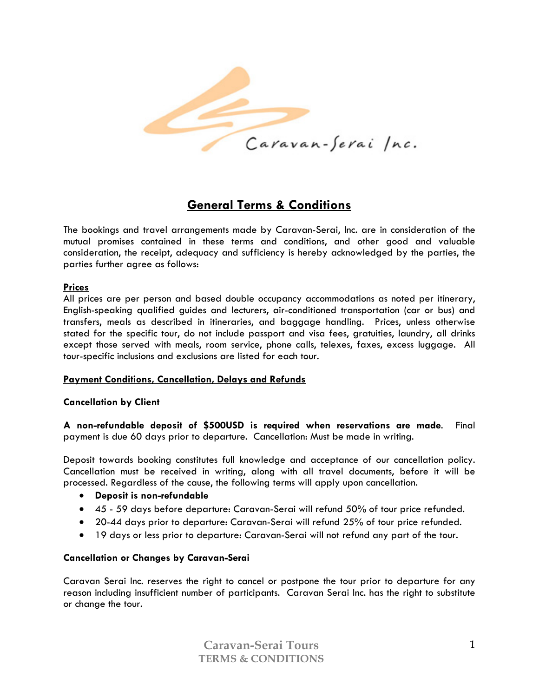

# **General Terms & Conditions**

The bookings and travel arrangements made by Caravan-Serai, Inc. are in consideration of the mutual promises contained in these terms and conditions, and other good and valuable consideration, the receipt, adequacy and sufficiency is hereby acknowledged by the parties, the parties further agree as follows:

#### **Prices**

All prices are per person and based double occupancy accommodations as noted per itinerary, English-speaking qualified guides and lecturers, air-conditioned transportation (car or bus) and transfers, meals as described in itineraries, and baggage handling. Prices, unless otherwise stated for the specific tour, do not include passport and visa fees, gratuities, laundry, all drinks except those served with meals, room service, phone calls, telexes, faxes, excess luggage. All tour-specific inclusions and exclusions are listed for each tour.

## **Payment Conditions, Cancellation, Delays and Refunds**

#### **Cancellation by Client**

**A non-refundable deposit of \$500USD is required when reservations are made**. Final payment is due 60 days prior to departure. Cancellation: Must be made in writing.

Deposit towards booking constitutes full knowledge and acceptance of our cancellation policy. Cancellation must be received in writing, along with all travel documents, before it will be processed. Regardless of the cause, the following terms will apply upon cancellation.

- **Deposit is non-refundable**
- 45 59 days before departure: Caravan-Serai will refund 50% of tour price refunded.
- 20-44 days prior to departure: Caravan-Serai will refund 25% of tour price refunded.
- 19 days or less prior to departure: Caravan-Serai will not refund any part of the tour.

#### **Cancellation or Changes by Caravan-Serai**

Caravan Serai Inc. reserves the right to cancel or postpone the tour prior to departure for any reason including insufficient number of participants. Caravan Serai Inc. has the right to substitute or change the tour.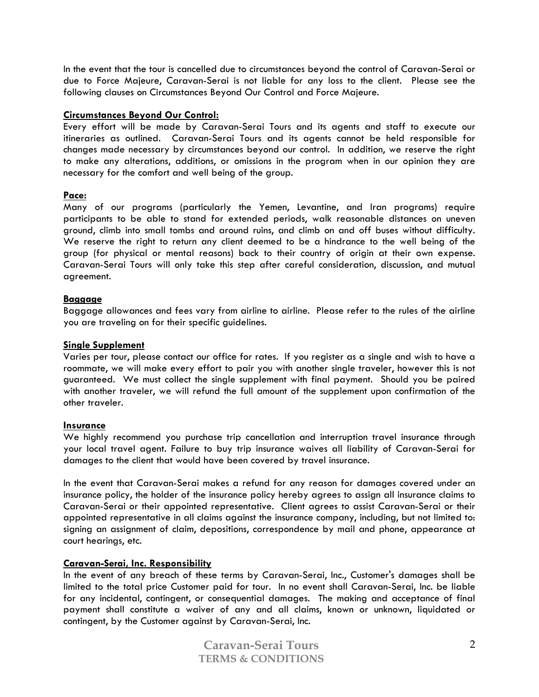In the event that the tour is cancelled due to circumstances beyond the control of Caravan-Serai or due to Force Majeure, Caravan-Serai is not liable for any loss to the client. Please see the following clauses on Circumstances Beyond Our Control and Force Majeure.

#### **Circumstances Beyond Our Control:**

Every effort will be made by Caravan-Serai Tours and its agents and staff to execute our itineraries as outlined. Caravan-Serai Tours and its agents cannot be held responsible for changes made necessary by circumstances beyond our control. In addition, we reserve the right to make any alterations, additions, or omissions in the program when in our opinion they are necessary for the comfort and well being of the group.

#### **Pace:**

Many of our programs (particularly the Yemen, Levantine, and Iran programs) require participants to be able to stand for extended periods, walk reasonable distances on uneven ground, climb into small tombs and around ruins, and climb on and off buses without difficulty. We reserve the right to return any client deemed to be a hindrance to the well being of the group (for physical or mental reasons) back to their country of origin at their own expense. Caravan-Serai Tours will only take this step after careful consideration, discussion, and mutual agreement.

#### **Baggage**

Baggage allowances and fees vary from airline to airline. Please refer to the rules of the airline you are traveling on for their specific guidelines.

#### **Single Supplement**

Varies per tour, please contact our office for rates. If you register as a single and wish to have a roommate, we will make every effort to pair you with another single traveler, however this is not guaranteed. We must collect the single supplement with final payment. Should you be paired with another traveler, we will refund the full amount of the supplement upon confirmation of the other traveler.

#### **Insurance**

We highly recommend you purchase trip cancellation and interruption travel insurance through your local travel agent. Failure to buy trip insurance waives all liability of Caravan-Serai for damages to the client that would have been covered by travel insurance.

In the event that Caravan-Serai makes a refund for any reason for damages covered under an insurance policy, the holder of the insurance policy hereby agrees to assign all insurance claims to Caravan-Serai or their appointed representative. Client agrees to assist Caravan-Serai or their appointed representative in all claims against the insurance company, including, but not limited to: signing an assignment of claim, depositions, correspondence by mail and phone, appearance at court hearings, etc.

## **Caravan-Serai, Inc. Responsibility**

In the event of any breach of these terms by Caravan-Serai, Inc., Customer's damages shall be limited to the total price Customer paid for tour. In no event shall Caravan-Serai, Inc. be liable for any incidental, contingent, or consequential damages. The making and acceptance of final payment shall constitute a waiver of any and all claims, known or unknown, liquidated or contingent, by the Customer against by Caravan-Serai, Inc.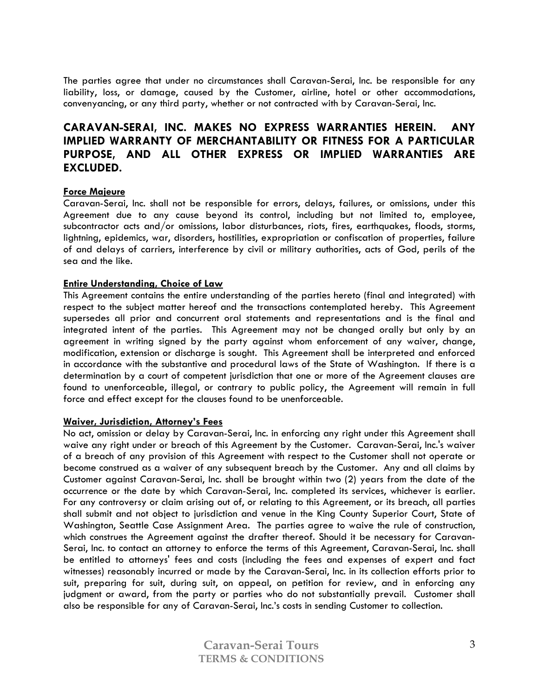The parties agree that under no circumstances shall Caravan-Serai, Inc. be responsible for any liability, loss, or damage, caused by the Customer, airline, hotel or other accommodations, convenyancing, or any third party, whether or not contracted with by Caravan-Serai, Inc.

# **CARAVAN-SERAI, INC. MAKES NO EXPRESS WARRANTIES HEREIN. ANY IMPLIED WARRANTY OF MERCHANTABILITY OR FITNESS FOR A PARTICULAR PURPOSE, AND ALL OTHER EXPRESS OR IMPLIED WARRANTIES ARE EXCLUDED.**

#### **Force Majeure**

Caravan-Serai, Inc. shall not be responsible for errors, delays, failures, or omissions, under this Agreement due to any cause beyond its control, including but not limited to, employee, subcontractor acts and/or omissions, labor disturbances, riots, fires, earthquakes, floods, storms, lightning, epidemics, war, disorders, hostilities, expropriation or confiscation of properties, failure of and delays of carriers, interference by civil or military authorities, acts of God, perils of the sea and the like.

#### **Entire Understanding, Choice of Law**

This Agreement contains the entire understanding of the parties hereto (final and integrated) with respect to the subject matter hereof and the transactions contemplated hereby. This Agreement supersedes all prior and concurrent oral statements and representations and is the final and integrated intent of the parties. This Agreement may not be changed orally but only by an agreement in writing signed by the party against whom enforcement of any waiver, change, modification, extension or discharge is sought. This Agreement shall be interpreted and enforced in accordance with the substantive and procedural laws of the State of Washington. If there is a determination by a court of competent jurisdiction that one or more of the Agreement clauses are found to unenforceable, illegal, or contrary to public policy, the Agreement will remain in full force and effect except for the clauses found to be unenforceable.

#### **Waiver, Jurisdiction, Attorney's Fees**

No act, omission or delay by Caravan-Serai, Inc. in enforcing any right under this Agreement shall waive any right under or breach of this Agreement by the Customer. Caravan-Serai, Inc.'s waiver of a breach of any provision of this Agreement with respect to the Customer shall not operate or become construed as a waiver of any subsequent breach by the Customer. Any and all claims by Customer against Caravan-Serai, Inc. shall be brought within two (2) years from the date of the occurrence or the date by which Caravan-Serai, Inc. completed its services, whichever is earlier. For any controversy or claim arising out of, or relating to this Agreement, or its breach, all parties shall submit and not object to jurisdiction and venue in the King County Superior Court, State of Washington, Seattle Case Assignment Area. The parties agree to waive the rule of construction, which construes the Agreement against the drafter thereof. Should it be necessary for Caravan-Serai, Inc. to contact an attorney to enforce the terms of this Agreement, Caravan-Serai, Inc. shall be entitled to attorneys' fees and costs (including the fees and expenses of expert and fact witnesses) reasonably incurred or made by the Caravan-Serai, Inc. in its collection efforts prior to suit, preparing for suit, during suit, on appeal, on petition for review, and in enforcing any judgment or award, from the party or parties who do not substantially prevail. Customer shall also be responsible for any of Caravan-Serai, Inc.'s costs in sending Customer to collection.